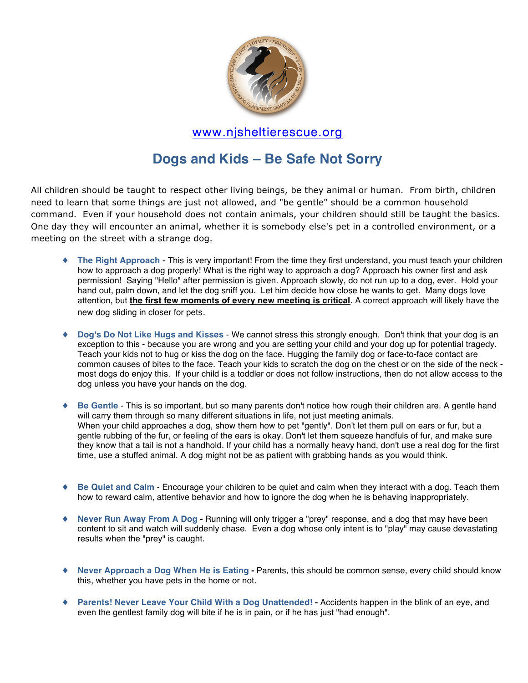

## www.njsheltierescue.org

## **Dogs and Kids – Be Safe Not Sorry**

All children should be taught to respect other living beings, be they animal or human. From birth, children need to learn that some things are just not allowed, and "be gentle" should be a common household command. Even if your household does not contain animals, your children should still be taught the basics. One day they will encounter an animal, whether it is somebody else's pet in a controlled environment, or a meeting on the street with a strange dog.

- The Right Approach This is very important! From the time they first understand, you must teach your children how to approach a dog properly! What is the right way to approach a dog? Approach his owner first and ask permission! Saying "Hello" after permission is given. Approach slowly, do not run up to a dog, ever. Hold your hand out, palm down, and let the dog sniff you. Let him decide how close he wants to get. Many dogs love attention, but **the first few moments of every new meeting is critical**. A correct approach will likely have the new dog sliding in closer for pets.
- ♦ **Dog's Do Not Like Hugs and Kisses** We cannot stress this strongly enough. Don't think that your dog is an exception to this - because you are wrong and you are setting your child and your dog up for potential tragedy. Teach your kids not to hug or kiss the dog on the face. Hugging the family dog or face-to-face contact are common causes of bites to the face. Teach your kids to scratch the dog on the chest or on the side of the neck most dogs do enjoy this. If your child is a toddler or does not follow instructions, then do not allow access to the dog unless you have your hands on the dog.
- ♦ **Be Gentle** This is so important, but so many parents don't notice how rough their children are. A gentle hand will carry them through so many different situations in life, not just meeting animals. When your child approaches a dog, show them how to pet "gently". Don't let them pull on ears or fur, but a gentle rubbing of the fur, or feeling of the ears is okay. Don't let them squeeze handfuls of fur, and make sure they know that a tail is not a handhold. If your child has a normally heavy hand, don't use a real dog for the first time, use a stuffed animal. A dog might not be as patient with grabbing hands as you would think.
- ♦ **Be Quiet and Calm** Encourage your children to be quiet and calm when they interact with a dog. Teach them how to reward calm, attentive behavior and how to ignore the dog when he is behaving inappropriately.
- ♦ **Never Run Away From A Dog -** Running will only trigger a "prey" response, and a dog that may have been content to sit and watch will suddenly chase. Even a dog whose only intent is to "play" may cause devastating results when the "prey" is caught.
- ♦ **Never Approach a Dog When He is Eating -** Parents, this should be common sense, every child should know this, whether you have pets in the home or not.
- ♦ **Parents! Never Leave Your Child With a Dog Unattended! -** Accidents happen in the blink of an eye, and even the gentlest family dog will bite if he is in pain, or if he has just "had enough".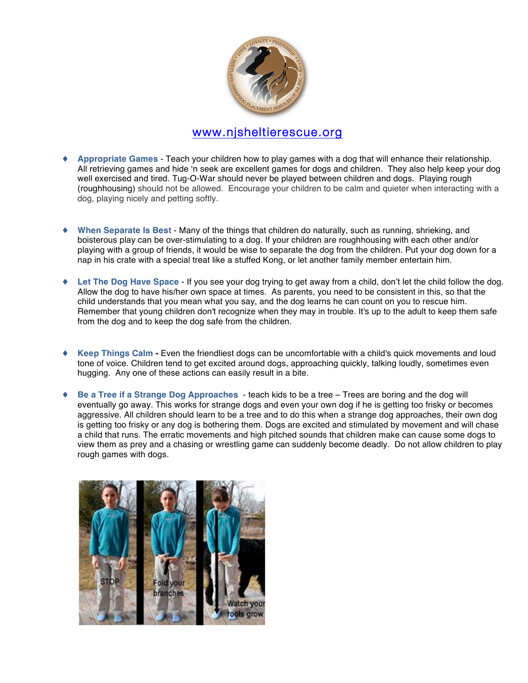

## www.njsheltierescue.org

- ♦ **Appropriate Games** Teach your children how to play games with a dog that will enhance their relationship. All retrieving games and hide ʻn seek are excellent games for dogs and children. They also help keep your dog well exercised and tired. Tug-O-War should never be played between children and dogs. Playing rough (roughhousing) should not be allowed. Encourage your children to be calm and quieter when interacting with a dog, playing nicely and petting softly.
- When Separate Is Best Many of the things that children do naturally, such as running, shrieking, and boisterous play can be over-stimulating to a dog. If your children are roughhousing with each other and/or playing with a group of friends, it would be wise to separate the dog from the children. Put your dog down for a nap in his crate with a special treat like a stuffed Kong, or let another family member entertain him.
- ♦ **Let The Dog Have Space** If you see your dog trying to get away from a child, don't let the child follow the dog. Allow the dog to have his/her own space at times. As parents, you need to be consistent in this, so that the child understands that you mean what you say, and the dog learns he can count on you to rescue him. Remember that young children don't recognize when they may in trouble. It's up to the adult to keep them safe from the dog and to keep the dog safe from the children.
- ♦ **Keep Things Calm -** Even the friendliest dogs can be uncomfortable with a child's quick movements and loud tone of voice. Children tend to get excited around dogs, approaching quickly, talking loudly, sometimes even hugging. Any one of these actions can easily result in a bite.
- ♦ **Be a Tree if a Strange Dog Approaches**  teach kids to be a tree Trees are boring and the dog will eventually go away. This works for strange dogs and even your own dog if he is getting too frisky or becomes aggressive. All children should learn to be a tree and to do this when a strange dog approaches, their own dog is getting too frisky or any dog is bothering them. Dogs are excited and stimulated by movement and will chase a child that runs. The erratic movements and high pitched sounds that children make can cause some dogs to view them as prey and a chasing or wrestling game can suddenly become deadly. Do not allow children to play rough games with dogs.